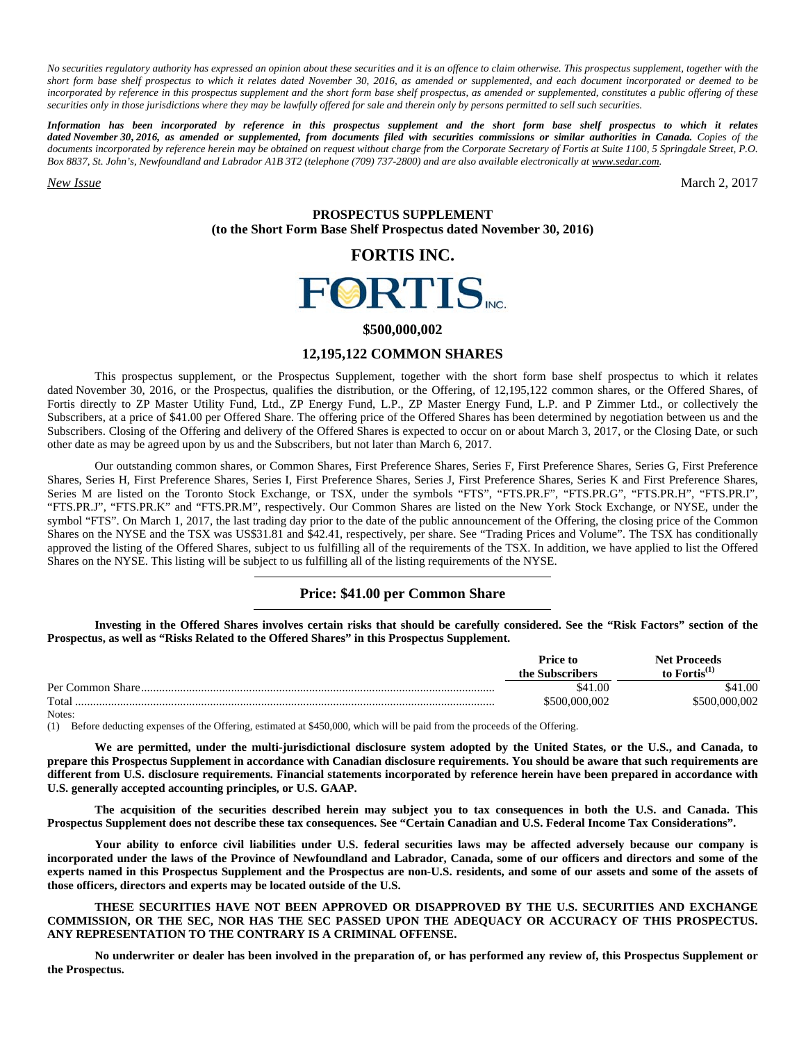*No securities regulatory authority has expressed an opinion about these securities and it is an offence to claim otherwise. This prospectus supplement, together with the short form base shelf prospectus to which it relates dated November 30, 2016, as amended or supplemented, and each document incorporated or deemed to be incorporated by reference in this prospectus supplement and the short form base shelf prospectus, as amended or supplemented, constitutes a public offering of these securities only in those jurisdictions where they may be lawfully offered for sale and therein only by persons permitted to sell such securities.* 

*Information has been incorporated by reference in this prospectus supplement and the short form base shelf prospectus to which it relates dated November 30***,** *2016, as amended or supplemented, from documents filed with securities commissions or similar authorities in Canada. Copies of the documents incorporated by reference herein may be obtained on request without charge from the Corporate Secretary of Fortis at Suite 1100, 5 Springdale Street, P.O. Box 8837, St. John's, Newfoundland and Labrador A1B 3T2 (telephone (709) 737-2800) and are also available electronically at www.sedar.com.*

*New Issue* March 2, 2017

## **PROSPECTUS SUPPLEMENT (to the Short Form Base Shelf Prospectus dated November 30, 2016)**

# **FORTIS INC.**



# **\$500,000,002**

# **12,195,122 COMMON SHARES**

This prospectus supplement, or the Prospectus Supplement, together with the short form base shelf prospectus to which it relates dated November 30, 2016, or the Prospectus, qualifies the distribution, or the Offering, of 12,195,122 common shares, or the Offered Shares, of Fortis directly to ZP Master Utility Fund, Ltd., ZP Energy Fund, L.P., ZP Master Energy Fund, L.P. and P Zimmer Ltd., or collectively the Subscribers, at a price of \$41.00 per Offered Share. The offering price of the Offered Shares has been determined by negotiation between us and the Subscribers. Closing of the Offering and delivery of the Offered Shares is expected to occur on or about March 3, 2017, or the Closing Date, or such other date as may be agreed upon by us and the Subscribers, but not later than March 6, 2017.

Our outstanding common shares, or Common Shares, First Preference Shares, Series F, First Preference Shares, Series G, First Preference Shares, Series H, First Preference Shares, Series I, First Preference Shares, Series J, First Preference Shares, Series K and First Preference Shares, Series M are listed on the Toronto Stock Exchange, or TSX, under the symbols "FTS", "FTS.PR.F", "FTS.PR.G", "FTS.PR.H", "FTS.PR.I", "FTS.PR.J", "FTS.PR.K" and "FTS.PR.M", respectively. Our Common Shares are listed on the New York Stock Exchange, or NYSE, under the symbol "FTS". On March 1, 2017, the last trading day prior to the date of the public announcement of the Offering, the closing price of the Common Shares on the NYSE and the TSX was US\$31.81 and \$42.41, respectively, per share. See "Trading Prices and Volume". The TSX has conditionally approved the listing of the Offered Shares, subject to us fulfilling all of the requirements of the TSX. In addition, we have applied to list the Offered Shares on the NYSE. This listing will be subject to us fulfilling all of the listing requirements of the NYSE.

# **Price: \$41.00 per Common Share**

**Investing in the Offered Shares involves certain risks that should be carefully considered. See the "Risk Factors" section of the Prospectus, as well as "Risks Related to the Offered Shares" in this Prospectus Supplement.** 

|                   | <b>Price to</b><br>the Subscribers | <b>Net Proceeds</b><br>to $Fortis(1)$ |
|-------------------|------------------------------------|---------------------------------------|
| Per Common Share. | \$41.00                            | \$41.00                               |
| Total             | \$500.000.002                      | \$500,000,002                         |
| Notes:            |                                    |                                       |

(1) Before deducting expenses of the Offering, estimated at \$450,000, which will be paid from the proceeds of the Offering.

**We are permitted, under the multi-jurisdictional disclosure system adopted by the United States, or the U.S., and Canada, to prepare this Prospectus Supplement in accordance with Canadian disclosure requirements. You should be aware that such requirements are different from U.S. disclosure requirements. Financial statements incorporated by reference herein have been prepared in accordance with U.S. generally accepted accounting principles, or U.S. GAAP.** 

**The acquisition of the securities described herein may subject you to tax consequences in both the U.S. and Canada. This Prospectus Supplement does not describe these tax consequences. See "Certain Canadian and U.S. Federal Income Tax Considerations".** 

**Your ability to enforce civil liabilities under U.S. federal securities laws may be affected adversely because our company is incorporated under the laws of the Province of Newfoundland and Labrador, Canada, some of our officers and directors and some of the experts named in this Prospectus Supplement and the Prospectus are non-U.S. residents, and some of our assets and some of the assets of those officers, directors and experts may be located outside of the U.S.** 

**THESE SECURITIES HAVE NOT BEEN APPROVED OR DISAPPROVED BY THE U.S. SECURITIES AND EXCHANGE COMMISSION, OR THE SEC, NOR HAS THE SEC PASSED UPON THE ADEQUACY OR ACCURACY OF THIS PROSPECTUS. ANY REPRESENTATION TO THE CONTRARY IS A CRIMINAL OFFENSE.** 

**No underwriter or dealer has been involved in the preparation of, or has performed any review of, this Prospectus Supplement or the Prospectus.**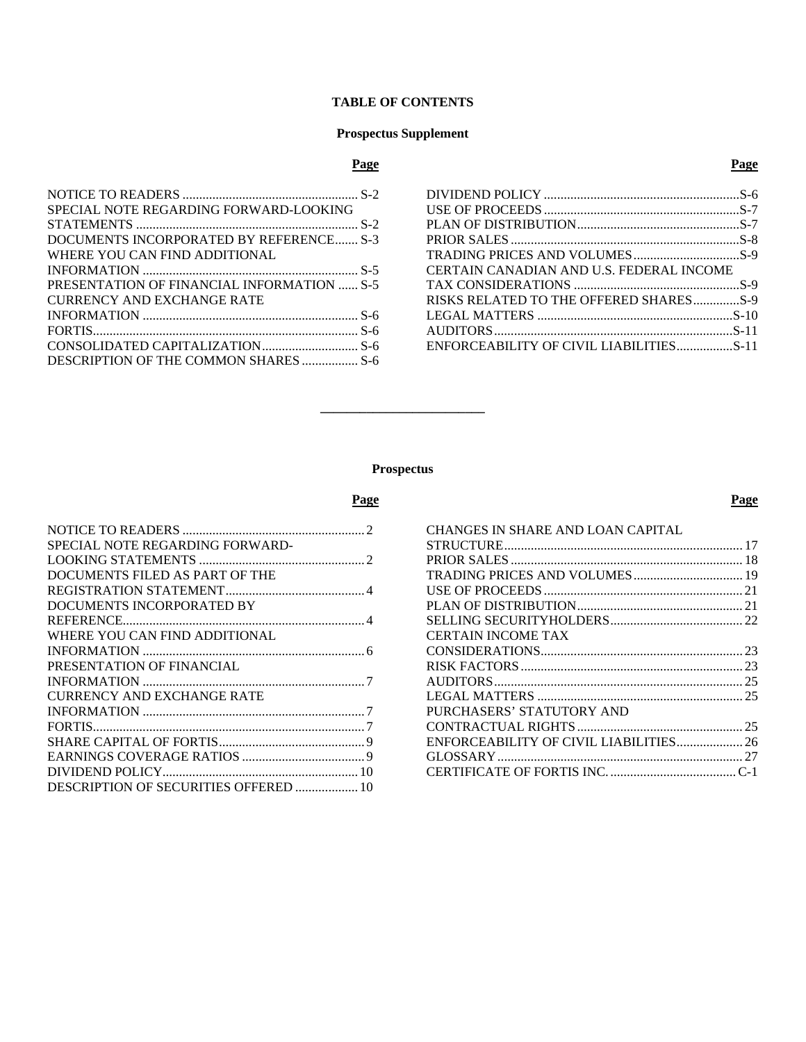# **TABLE OF CONTENTS**

## **Prospectus Supplement**

### **Page Page**

| SPECIAL NOTE REGARDING FORWARD-LOOKING     |  |
|--------------------------------------------|--|
|                                            |  |
| DOCUMENTS INCORPORATED BY REFERENCE S-3    |  |
| WHERE YOU CAN FIND ADDITIONAL              |  |
|                                            |  |
| PRESENTATION OF FINANCIAL INFORMATION  S-5 |  |
| <b>CURRENCY AND EXCHANGE RATE</b>          |  |
|                                            |  |
|                                            |  |
|                                            |  |
| DESCRIPTION OF THE COMMON SHARES  S-6      |  |

| CERTAIN CANADIAN AND U.S. FEDERAL INCOME |  |
|------------------------------------------|--|
|                                          |  |
| RISKS RELATED TO THE OFFERED SHARESS-9   |  |
|                                          |  |
|                                          |  |
| ENFORCEABILITY OF CIVIL LIABILITIESS-11  |  |
|                                          |  |

# **Prospectus**

**\_\_\_\_\_\_\_\_\_\_\_\_\_\_\_\_\_\_\_\_\_\_\_\_\_** 

#### **Page Page**

# NOTICE TO READERS ....................................................... 2 SPECIAL NOTE REGARDING FORWARD-LOOKING STATEMENTS .................................................. 2 DOCUMENTS FILED AS PART OF THE REGISTRATION STATEMENT .......................................... 4 DOCUMENTS INCORPORATED BY REFERENCE......................................................................... 4 WHERE YOU CAN FIND ADDITIONAL INFORMATION ................................................................... 6 PRESENTATION OF FINANCIAL INFORMATION ................................................................... 7 CURRENCY AND EXCHANGE RATE INFORMATION ................................................................... 7 FORTIS .................................................................................. 7 SHARE CAPITAL OF FORTIS ............................................ 9 EARNINGS COVERAGE RATIOS ..................................... 9 DIVIDEND POLICY........................................................... 10 DESCRIPTION OF SECURITIES OFFERED ................... 10

| CHANGES IN SHARE AND LOAN CAPITAL |  |
|-----------------------------------|--|
|                                   |  |
|                                   |  |
|                                   |  |
|                                   |  |
|                                   |  |
|                                   |  |
| <b>CERTAIN INCOME TAX</b>         |  |
|                                   |  |
|                                   |  |
|                                   |  |
|                                   |  |
| PURCHASERS' STATUTORY AND         |  |
|                                   |  |
|                                   |  |
|                                   |  |
|                                   |  |
|                                   |  |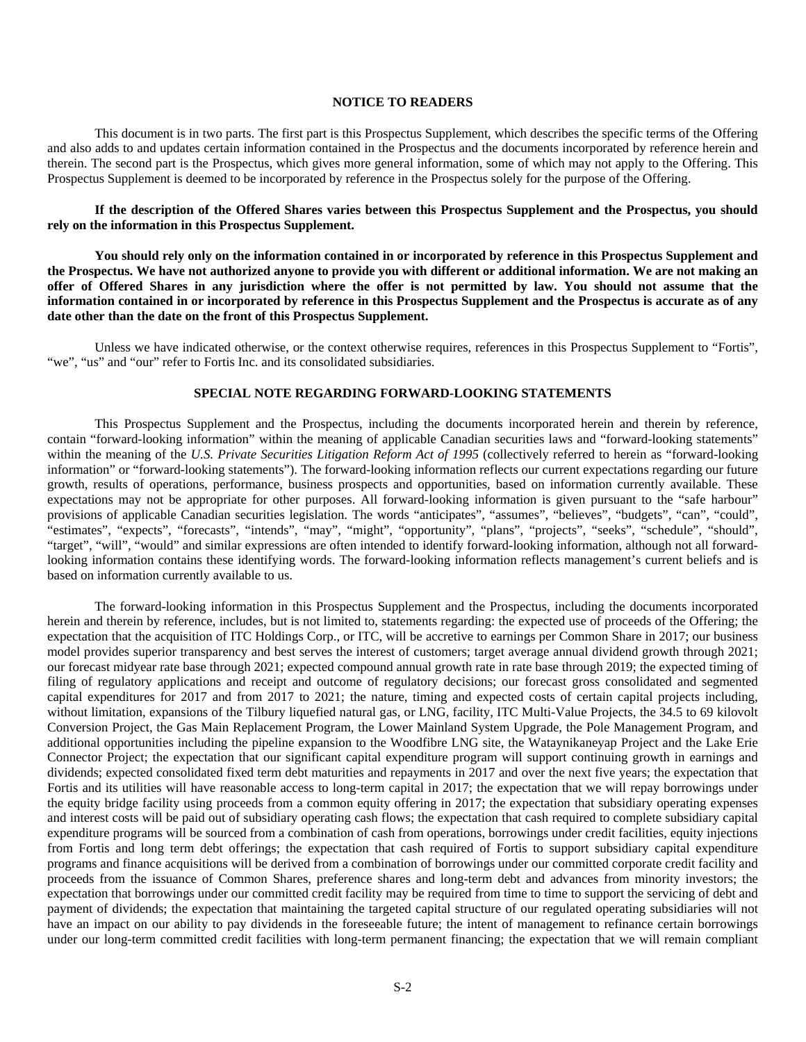## **NOTICE TO READERS**

This document is in two parts. The first part is this Prospectus Supplement, which describes the specific terms of the Offering and also adds to and updates certain information contained in the Prospectus and the documents incorporated by reference herein and therein. The second part is the Prospectus, which gives more general information, some of which may not apply to the Offering. This Prospectus Supplement is deemed to be incorporated by reference in the Prospectus solely for the purpose of the Offering.

# **If the description of the Offered Shares varies between this Prospectus Supplement and the Prospectus, you should rely on the information in this Prospectus Supplement.**

**You should rely only on the information contained in or incorporated by reference in this Prospectus Supplement and the Prospectus. We have not authorized anyone to provide you with different or additional information. We are not making an offer of Offered Shares in any jurisdiction where the offer is not permitted by law. You should not assume that the information contained in or incorporated by reference in this Prospectus Supplement and the Prospectus is accurate as of any date other than the date on the front of this Prospectus Supplement.** 

Unless we have indicated otherwise, or the context otherwise requires, references in this Prospectus Supplement to "Fortis", "we", "us" and "our" refer to Fortis Inc. and its consolidated subsidiaries.

## **SPECIAL NOTE REGARDING FORWARD-LOOKING STATEMENTS**

This Prospectus Supplement and the Prospectus, including the documents incorporated herein and therein by reference, contain "forward-looking information" within the meaning of applicable Canadian securities laws and "forward-looking statements" within the meaning of the *U.S. Private Securities Litigation Reform Act of 1995* (collectively referred to herein as "forward-looking") information" or "forward-looking statements"). The forward-looking information reflects our current expectations regarding our future growth, results of operations, performance, business prospects and opportunities, based on information currently available. These expectations may not be appropriate for other purposes. All forward-looking information is given pursuant to the "safe harbour" provisions of applicable Canadian securities legislation. The words "anticipates", "assumes", "believes", "budgets", "can", "could", "estimates", "expects", "forecasts", "intends", "may", "might", "opportunity", "plans", "projects", "seeks", "schedule", "should", "target", "will", "would" and similar expressions are often intended to identify forward-looking information, although not all forwardlooking information contains these identifying words. The forward-looking information reflects management's current beliefs and is based on information currently available to us.

The forward-looking information in this Prospectus Supplement and the Prospectus, including the documents incorporated herein and therein by reference, includes, but is not limited to, statements regarding: the expected use of proceeds of the Offering; the expectation that the acquisition of ITC Holdings Corp., or ITC, will be accretive to earnings per Common Share in 2017; our business model provides superior transparency and best serves the interest of customers; target average annual dividend growth through 2021; our forecast midyear rate base through 2021; expected compound annual growth rate in rate base through 2019; the expected timing of filing of regulatory applications and receipt and outcome of regulatory decisions; our forecast gross consolidated and segmented capital expenditures for 2017 and from 2017 to 2021; the nature, timing and expected costs of certain capital projects including, without limitation, expansions of the Tilbury liquefied natural gas, or LNG, facility, ITC Multi-Value Projects, the 34.5 to 69 kilovolt Conversion Project, the Gas Main Replacement Program, the Lower Mainland System Upgrade, the Pole Management Program, and additional opportunities including the pipeline expansion to the Woodfibre LNG site, the Wataynikaneyap Project and the Lake Erie Connector Project; the expectation that our significant capital expenditure program will support continuing growth in earnings and dividends; expected consolidated fixed term debt maturities and repayments in 2017 and over the next five years; the expectation that Fortis and its utilities will have reasonable access to long-term capital in 2017; the expectation that we will repay borrowings under the equity bridge facility using proceeds from a common equity offering in 2017; the expectation that subsidiary operating expenses and interest costs will be paid out of subsidiary operating cash flows; the expectation that cash required to complete subsidiary capital expenditure programs will be sourced from a combination of cash from operations, borrowings under credit facilities, equity injections from Fortis and long term debt offerings; the expectation that cash required of Fortis to support subsidiary capital expenditure programs and finance acquisitions will be derived from a combination of borrowings under our committed corporate credit facility and proceeds from the issuance of Common Shares, preference shares and long-term debt and advances from minority investors; the expectation that borrowings under our committed credit facility may be required from time to time to support the servicing of debt and payment of dividends; the expectation that maintaining the targeted capital structure of our regulated operating subsidiaries will not have an impact on our ability to pay dividends in the foreseeable future; the intent of management to refinance certain borrowings under our long-term committed credit facilities with long-term permanent financing; the expectation that we will remain compliant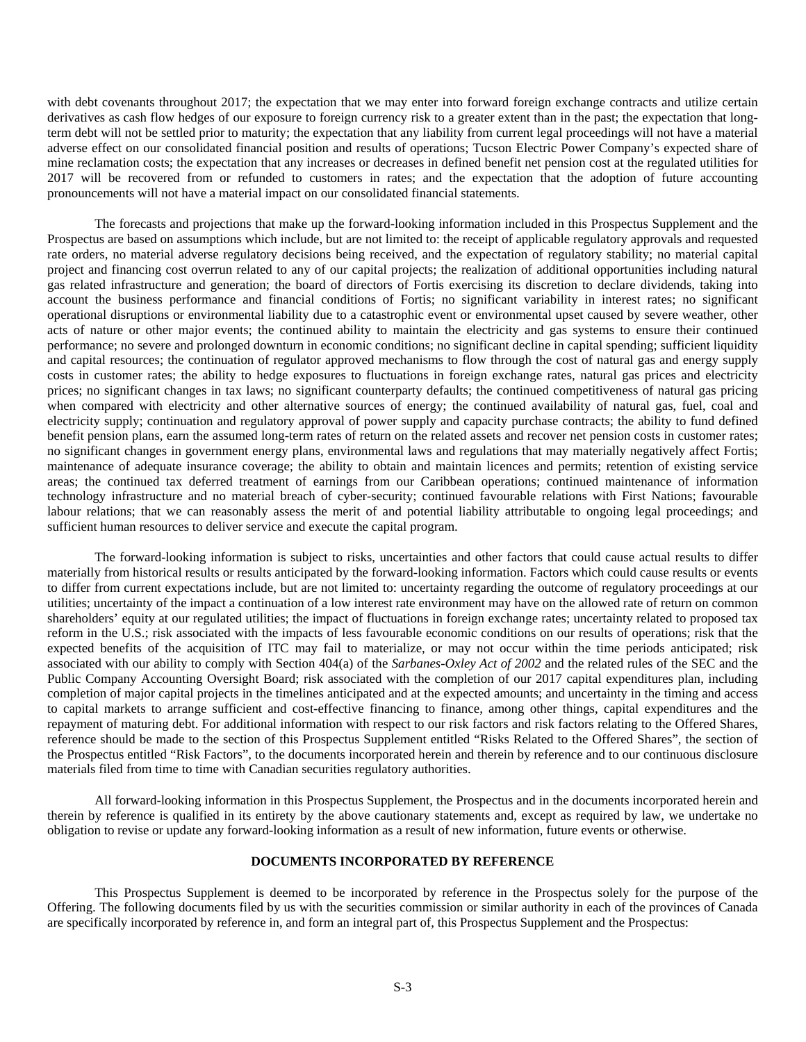with debt covenants throughout 2017; the expectation that we may enter into forward foreign exchange contracts and utilize certain derivatives as cash flow hedges of our exposure to foreign currency risk to a greater extent than in the past; the expectation that longterm debt will not be settled prior to maturity; the expectation that any liability from current legal proceedings will not have a material adverse effect on our consolidated financial position and results of operations; Tucson Electric Power Company's expected share of mine reclamation costs; the expectation that any increases or decreases in defined benefit net pension cost at the regulated utilities for 2017 will be recovered from or refunded to customers in rates; and the expectation that the adoption of future accounting pronouncements will not have a material impact on our consolidated financial statements.

The forecasts and projections that make up the forward-looking information included in this Prospectus Supplement and the Prospectus are based on assumptions which include, but are not limited to: the receipt of applicable regulatory approvals and requested rate orders, no material adverse regulatory decisions being received, and the expectation of regulatory stability; no material capital project and financing cost overrun related to any of our capital projects; the realization of additional opportunities including natural gas related infrastructure and generation; the board of directors of Fortis exercising its discretion to declare dividends, taking into account the business performance and financial conditions of Fortis; no significant variability in interest rates; no significant operational disruptions or environmental liability due to a catastrophic event or environmental upset caused by severe weather, other acts of nature or other major events; the continued ability to maintain the electricity and gas systems to ensure their continued performance; no severe and prolonged downturn in economic conditions; no significant decline in capital spending; sufficient liquidity and capital resources; the continuation of regulator approved mechanisms to flow through the cost of natural gas and energy supply costs in customer rates; the ability to hedge exposures to fluctuations in foreign exchange rates, natural gas prices and electricity prices; no significant changes in tax laws; no significant counterparty defaults; the continued competitiveness of natural gas pricing when compared with electricity and other alternative sources of energy; the continued availability of natural gas, fuel, coal and electricity supply; continuation and regulatory approval of power supply and capacity purchase contracts; the ability to fund defined benefit pension plans, earn the assumed long-term rates of return on the related assets and recover net pension costs in customer rates; no significant changes in government energy plans, environmental laws and regulations that may materially negatively affect Fortis; maintenance of adequate insurance coverage; the ability to obtain and maintain licences and permits; retention of existing service areas; the continued tax deferred treatment of earnings from our Caribbean operations; continued maintenance of information technology infrastructure and no material breach of cyber-security; continued favourable relations with First Nations; favourable labour relations; that we can reasonably assess the merit of and potential liability attributable to ongoing legal proceedings; and sufficient human resources to deliver service and execute the capital program.

The forward-looking information is subject to risks, uncertainties and other factors that could cause actual results to differ materially from historical results or results anticipated by the forward-looking information. Factors which could cause results or events to differ from current expectations include, but are not limited to: uncertainty regarding the outcome of regulatory proceedings at our utilities; uncertainty of the impact a continuation of a low interest rate environment may have on the allowed rate of return on common shareholders' equity at our regulated utilities; the impact of fluctuations in foreign exchange rates; uncertainty related to proposed tax reform in the U.S.; risk associated with the impacts of less favourable economic conditions on our results of operations; risk that the expected benefits of the acquisition of ITC may fail to materialize, or may not occur within the time periods anticipated; risk associated with our ability to comply with Section 404(a) of the *Sarbanes-Oxley Act of 2002* and the related rules of the SEC and the Public Company Accounting Oversight Board; risk associated with the completion of our 2017 capital expenditures plan, including completion of major capital projects in the timelines anticipated and at the expected amounts; and uncertainty in the timing and access to capital markets to arrange sufficient and cost-effective financing to finance, among other things, capital expenditures and the repayment of maturing debt. For additional information with respect to our risk factors and risk factors relating to the Offered Shares, reference should be made to the section of this Prospectus Supplement entitled "Risks Related to the Offered Shares", the section of the Prospectus entitled "Risk Factors", to the documents incorporated herein and therein by reference and to our continuous disclosure materials filed from time to time with Canadian securities regulatory authorities.

All forward-looking information in this Prospectus Supplement, the Prospectus and in the documents incorporated herein and therein by reference is qualified in its entirety by the above cautionary statements and, except as required by law, we undertake no obligation to revise or update any forward-looking information as a result of new information, future events or otherwise.

## **DOCUMENTS INCORPORATED BY REFERENCE**

This Prospectus Supplement is deemed to be incorporated by reference in the Prospectus solely for the purpose of the Offering. The following documents filed by us with the securities commission or similar authority in each of the provinces of Canada are specifically incorporated by reference in, and form an integral part of, this Prospectus Supplement and the Prospectus: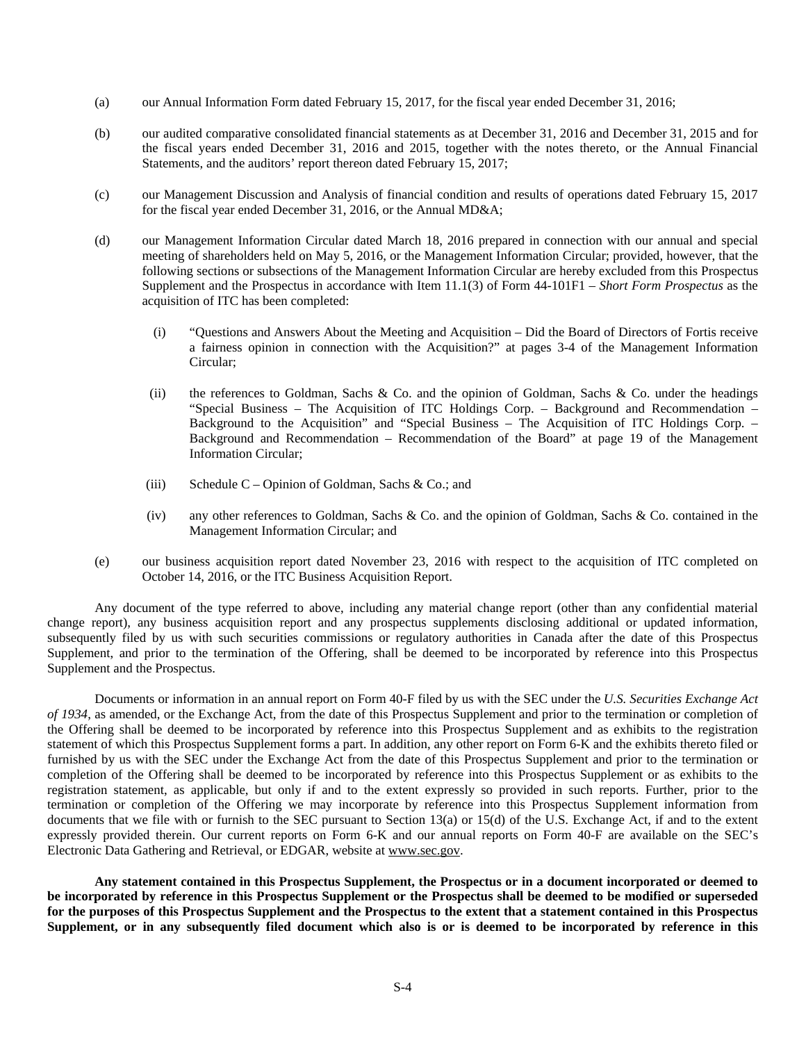- (a) our Annual Information Form dated February 15, 2017, for the fiscal year ended December 31, 2016;
- (b) our audited comparative consolidated financial statements as at December 31, 2016 and December 31, 2015 and for the fiscal years ended December 31, 2016 and 2015, together with the notes thereto, or the Annual Financial Statements, and the auditors' report thereon dated February 15, 2017;
- (c) our Management Discussion and Analysis of financial condition and results of operations dated February 15, 2017 for the fiscal year ended December 31, 2016, or the Annual MD&A;
- (d) our Management Information Circular dated March 18, 2016 prepared in connection with our annual and special meeting of shareholders held on May 5, 2016, or the Management Information Circular; provided, however, that the following sections or subsections of the Management Information Circular are hereby excluded from this Prospectus Supplement and the Prospectus in accordance with Item 11.1(3) of Form 44-101F1 – *Short Form Prospectus* as the acquisition of ITC has been completed:
	- (i) "Questions and Answers About the Meeting and Acquisition Did the Board of Directors of Fortis receive a fairness opinion in connection with the Acquisition?" at pages 3-4 of the Management Information Circular;
	- (ii) the references to Goldman, Sachs & Co. and the opinion of Goldman, Sachs & Co. under the headings "Special Business – The Acquisition of ITC Holdings Corp. – Background and Recommendation – Background to the Acquisition" and "Special Business – The Acquisition of ITC Holdings Corp. – Background and Recommendation – Recommendation of the Board" at page 19 of the Management Information Circular;
	- (iii) Schedule  $C -$  Opinion of Goldman, Sachs & Co.; and
	- (iv) any other references to Goldman, Sachs & Co. and the opinion of Goldman, Sachs & Co. contained in the Management Information Circular; and
- (e) our business acquisition report dated November 23, 2016 with respect to the acquisition of ITC completed on October 14, 2016, or the ITC Business Acquisition Report.

Any document of the type referred to above, including any material change report (other than any confidential material change report), any business acquisition report and any prospectus supplements disclosing additional or updated information, subsequently filed by us with such securities commissions or regulatory authorities in Canada after the date of this Prospectus Supplement, and prior to the termination of the Offering, shall be deemed to be incorporated by reference into this Prospectus Supplement and the Prospectus.

Documents or information in an annual report on Form 40-F filed by us with the SEC under the *U.S. Securities Exchange Act of 1934*, as amended, or the Exchange Act, from the date of this Prospectus Supplement and prior to the termination or completion of the Offering shall be deemed to be incorporated by reference into this Prospectus Supplement and as exhibits to the registration statement of which this Prospectus Supplement forms a part. In addition, any other report on Form 6-K and the exhibits thereto filed or furnished by us with the SEC under the Exchange Act from the date of this Prospectus Supplement and prior to the termination or completion of the Offering shall be deemed to be incorporated by reference into this Prospectus Supplement or as exhibits to the registration statement, as applicable, but only if and to the extent expressly so provided in such reports. Further, prior to the termination or completion of the Offering we may incorporate by reference into this Prospectus Supplement information from documents that we file with or furnish to the SEC pursuant to Section 13(a) or 15(d) of the U.S. Exchange Act, if and to the extent expressly provided therein. Our current reports on Form 6-K and our annual reports on Form 40-F are available on the SEC's Electronic Data Gathering and Retrieval, or EDGAR, website at www.sec.gov.

**Any statement contained in this Prospectus Supplement, the Prospectus or in a document incorporated or deemed to be incorporated by reference in this Prospectus Supplement or the Prospectus shall be deemed to be modified or superseded for the purposes of this Prospectus Supplement and the Prospectus to the extent that a statement contained in this Prospectus Supplement, or in any subsequently filed document which also is or is deemed to be incorporated by reference in this**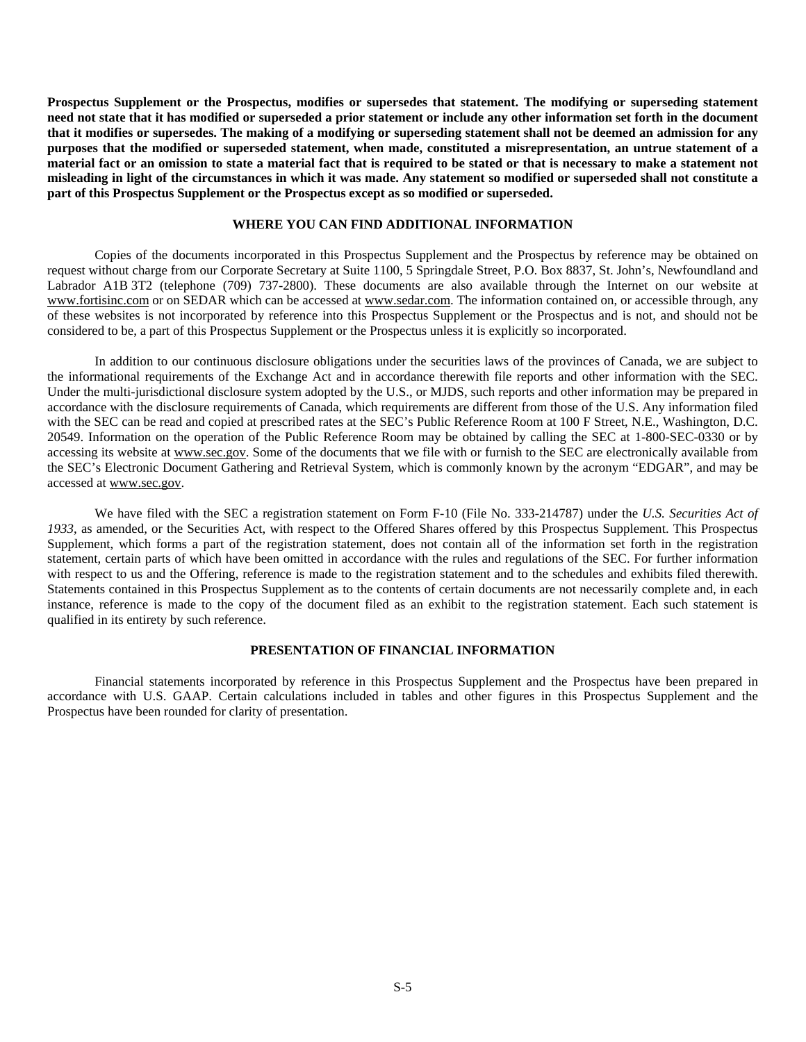**Prospectus Supplement or the Prospectus, modifies or supersedes that statement. The modifying or superseding statement need not state that it has modified or superseded a prior statement or include any other information set forth in the document that it modifies or supersedes. The making of a modifying or superseding statement shall not be deemed an admission for any purposes that the modified or superseded statement, when made, constituted a misrepresentation, an untrue statement of a material fact or an omission to state a material fact that is required to be stated or that is necessary to make a statement not misleading in light of the circumstances in which it was made. Any statement so modified or superseded shall not constitute a part of this Prospectus Supplement or the Prospectus except as so modified or superseded.**

# **WHERE YOU CAN FIND ADDITIONAL INFORMATION**

Copies of the documents incorporated in this Prospectus Supplement and the Prospectus by reference may be obtained on request without charge from our Corporate Secretary at Suite 1100, 5 Springdale Street, P.O. Box 8837, St. John's, Newfoundland and Labrador A1B 3T2 (telephone (709) 737-2800). These documents are also available through the Internet on our website at www.fortisinc.com or on SEDAR which can be accessed at www.sedar.com. The information contained on, or accessible through, any of these websites is not incorporated by reference into this Prospectus Supplement or the Prospectus and is not, and should not be considered to be, a part of this Prospectus Supplement or the Prospectus unless it is explicitly so incorporated.

In addition to our continuous disclosure obligations under the securities laws of the provinces of Canada, we are subject to the informational requirements of the Exchange Act and in accordance therewith file reports and other information with the SEC. Under the multi-jurisdictional disclosure system adopted by the U.S., or MJDS, such reports and other information may be prepared in accordance with the disclosure requirements of Canada, which requirements are different from those of the U.S. Any information filed with the SEC can be read and copied at prescribed rates at the SEC's Public Reference Room at 100 F Street, N.E., Washington, D.C. 20549. Information on the operation of the Public Reference Room may be obtained by calling the SEC at 1-800-SEC-0330 or by accessing its website at www.sec.gov. Some of the documents that we file with or furnish to the SEC are electronically available from the SEC's Electronic Document Gathering and Retrieval System, which is commonly known by the acronym "EDGAR", and may be accessed at www.sec.gov.

We have filed with the SEC a registration statement on Form F-10 (File No. 333-214787) under the *U.S. Securities Act of 1933*, as amended, or the Securities Act, with respect to the Offered Shares offered by this Prospectus Supplement. This Prospectus Supplement, which forms a part of the registration statement, does not contain all of the information set forth in the registration statement, certain parts of which have been omitted in accordance with the rules and regulations of the SEC. For further information with respect to us and the Offering, reference is made to the registration statement and to the schedules and exhibits filed therewith. Statements contained in this Prospectus Supplement as to the contents of certain documents are not necessarily complete and, in each instance, reference is made to the copy of the document filed as an exhibit to the registration statement. Each such statement is qualified in its entirety by such reference.

# **PRESENTATION OF FINANCIAL INFORMATION**

Financial statements incorporated by reference in this Prospectus Supplement and the Prospectus have been prepared in accordance with U.S. GAAP. Certain calculations included in tables and other figures in this Prospectus Supplement and the Prospectus have been rounded for clarity of presentation.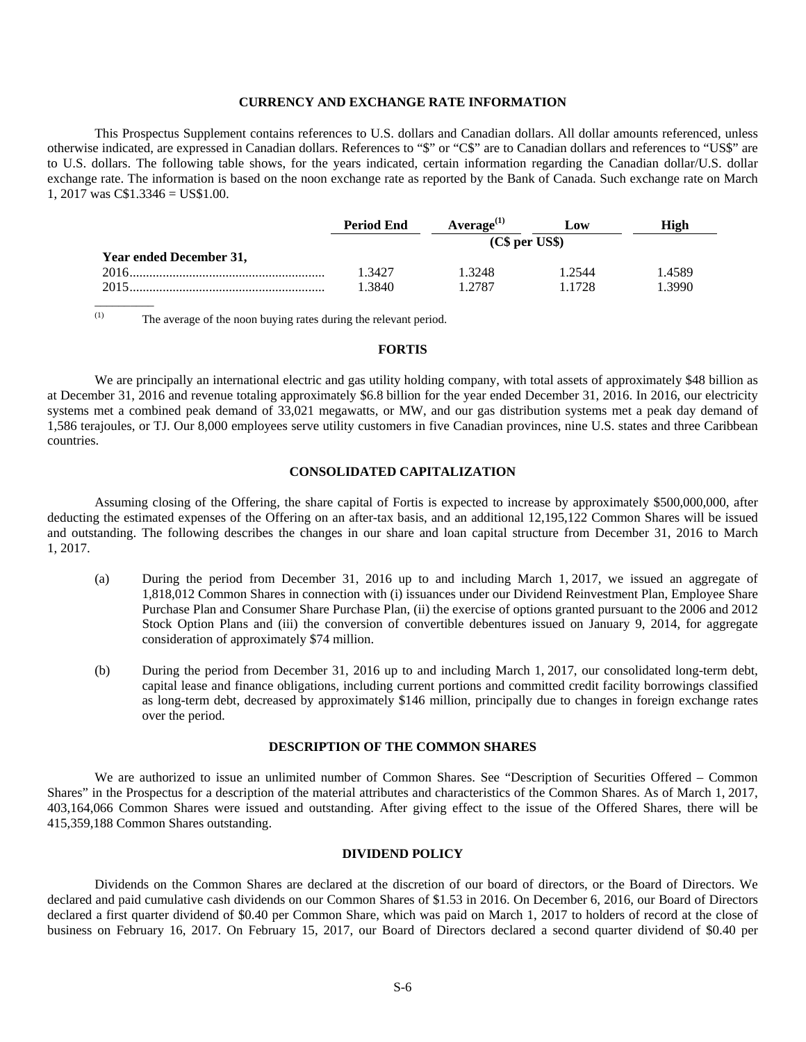# **CURRENCY AND EXCHANGE RATE INFORMATION**

This Prospectus Supplement contains references to U.S. dollars and Canadian dollars. All dollar amounts referenced, unless otherwise indicated, are expressed in Canadian dollars. References to "\$" or "C\$" are to Canadian dollars and references to "US\$" are to U.S. dollars. The following table shows, for the years indicated, certain information regarding the Canadian dollar/U.S. dollar exchange rate. The information is based on the noon exchange rate as reported by the Bank of Canada. Such exchange rate on March 1, 2017 was C\$1.3346 = US\$1.00.

|                         | <b>Period End</b> | Average <sup>(1)</sup> | Low   | High   |  |
|-------------------------|-------------------|------------------------|-------|--------|--|
|                         |                   | (C\$ per US\$)         |       |        |  |
| Year ended December 31, |                   |                        |       |        |  |
| 2016                    | 1.3427            | 1.3248                 | .2544 | 1.4589 |  |
| 2015                    | .3840             | .2787                  | 1728  | .3990  |  |

(1) The average of the noon buying rates during the relevant period.

#### **FORTIS**

We are principally an international electric and gas utility holding company, with total assets of approximately \$48 billion as at December 31, 2016 and revenue totaling approximately \$6.8 billion for the year ended December 31, 2016. In 2016, our electricity systems met a combined peak demand of 33,021 megawatts, or MW, and our gas distribution systems met a peak day demand of 1,586 terajoules, or TJ. Our 8,000 employees serve utility customers in five Canadian provinces, nine U.S. states and three Caribbean countries.

## **CONSOLIDATED CAPITALIZATION**

Assuming closing of the Offering, the share capital of Fortis is expected to increase by approximately \$500,000,000, after deducting the estimated expenses of the Offering on an after-tax basis, and an additional 12,195,122 Common Shares will be issued and outstanding. The following describes the changes in our share and loan capital structure from December 31, 2016 to March 1, 2017.

- (a) During the period from December 31, 2016 up to and including March 1, 2017, we issued an aggregate of 1,818,012 Common Shares in connection with (i) issuances under our Dividend Reinvestment Plan, Employee Share Purchase Plan and Consumer Share Purchase Plan, (ii) the exercise of options granted pursuant to the 2006 and 2012 Stock Option Plans and (iii) the conversion of convertible debentures issued on January 9, 2014, for aggregate consideration of approximately \$74 million.
- (b) During the period from December 31, 2016 up to and including March 1, 2017, our consolidated long-term debt, capital lease and finance obligations, including current portions and committed credit facility borrowings classified as long-term debt, decreased by approximately \$146 million, principally due to changes in foreign exchange rates over the period.

### **DESCRIPTION OF THE COMMON SHARES**

We are authorized to issue an unlimited number of Common Shares. See "Description of Securities Offered – Common Shares" in the Prospectus for a description of the material attributes and characteristics of the Common Shares. As of March 1, 2017, 403,164,066 Common Shares were issued and outstanding. After giving effect to the issue of the Offered Shares, there will be 415,359,188 Common Shares outstanding.

# **DIVIDEND POLICY**

Dividends on the Common Shares are declared at the discretion of our board of directors, or the Board of Directors. We declared and paid cumulative cash dividends on our Common Shares of \$1.53 in 2016. On December 6, 2016, our Board of Directors declared a first quarter dividend of \$0.40 per Common Share, which was paid on March 1, 2017 to holders of record at the close of business on February 16, 2017. On February 15, 2017, our Board of Directors declared a second quarter dividend of \$0.40 per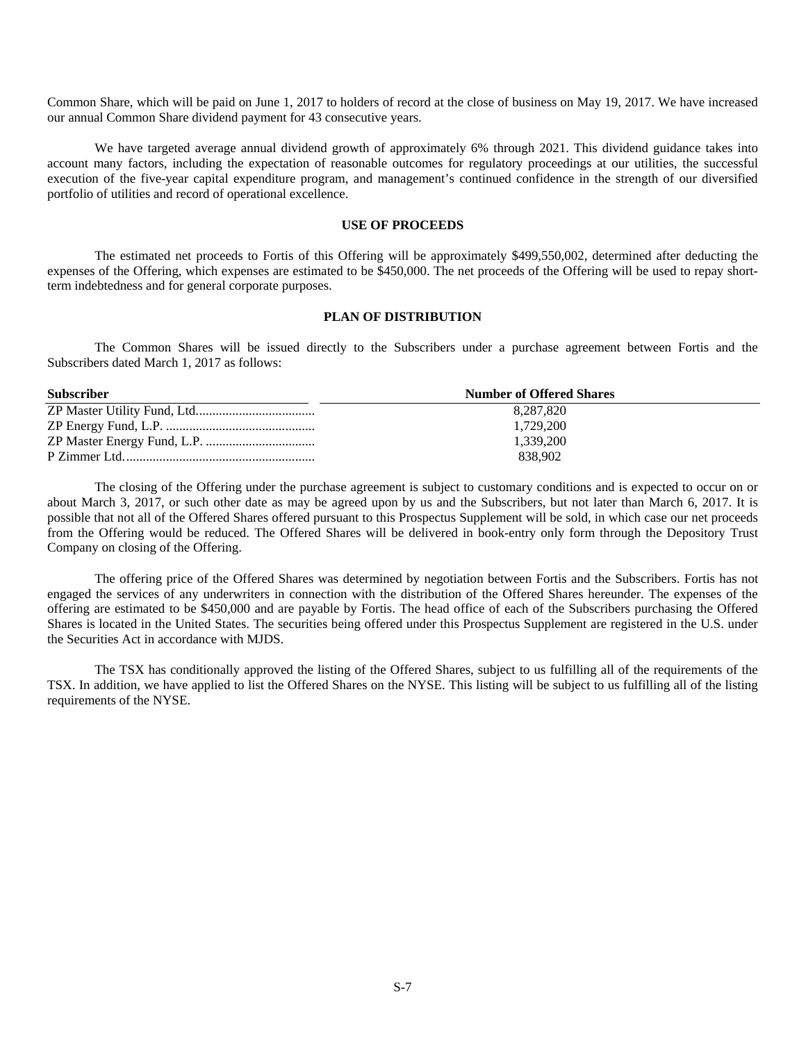Common Share, which will be paid on June 1, 2017 to holders of record at the close of business on May 19, 2017. We have increased our annual Common Share dividend payment for 43 consecutive years.

We have targeted average annual dividend growth of approximately 6% through 2021. This dividend guidance takes into account many factors, including the expectation of reasonable outcomes for regulatory proceedings at our utilities, the successful execution of the five-year capital expenditure program, and management's continued confidence in the strength of our diversified portfolio of utilities and record of operational excellence.

# **USE OF PROCEEDS**

The estimated net proceeds to Fortis of this Offering will be approximately \$499,550,002, determined after deducting the expenses of the Offering, which expenses are estimated to be \$450,000. The net proceeds of the Offering will be used to repay shortterm indebtedness and for general corporate purposes.

#### **PLAN OF DISTRIBUTION**

The Common Shares will be issued directly to the Subscribers under a purchase agreement between Fortis and the Subscribers dated March 1, 2017 as follows:

| <b>Subscriber</b> | <b>Number of Offered Shares</b> |
|-------------------|---------------------------------|
|                   | 8.287.820                       |
|                   | 1.729.200                       |
|                   | 1.339.200                       |
|                   | 838.902                         |

The closing of the Offering under the purchase agreement is subject to customary conditions and is expected to occur on or about March 3, 2017, or such other date as may be agreed upon by us and the Subscribers, but not later than March 6, 2017. It is possible that not all of the Offered Shares offered pursuant to this Prospectus Supplement will be sold, in which case our net proceeds from the Offering would be reduced. The Offered Shares will be delivered in book-entry only form through the Depository Trust Company on closing of the Offering.

The offering price of the Offered Shares was determined by negotiation between Fortis and the Subscribers. Fortis has not engaged the services of any underwriters in connection with the distribution of the Offered Shares hereunder. The expenses of the offering are estimated to be \$450,000 and are payable by Fortis. The head office of each of the Subscribers purchasing the Offered Shares is located in the United States. The securities being offered under this Prospectus Supplement are registered in the U.S. under the Securities Act in accordance with MJDS.

The TSX has conditionally approved the listing of the Offered Shares, subject to us fulfilling all of the requirements of the TSX. In addition, we have applied to list the Offered Shares on the NYSE. This listing will be subject to us fulfilling all of the listing requirements of the NYSE.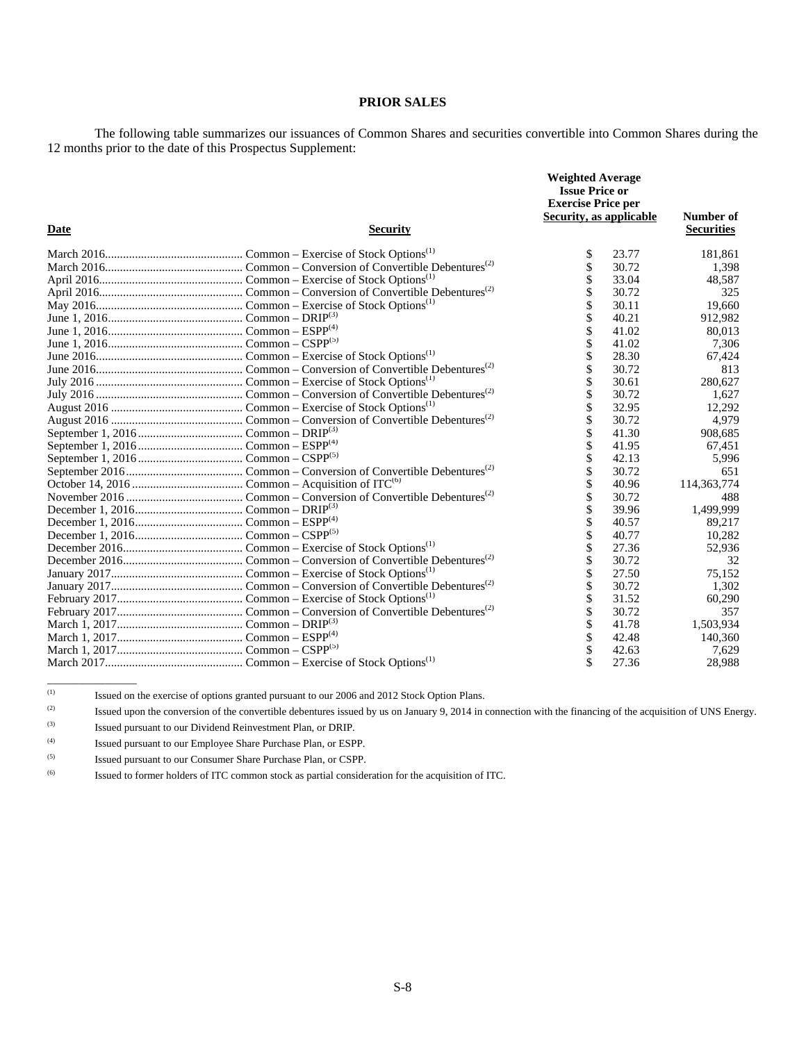# **PRIOR SALES**

The following table summarizes our issuances of Common Shares and securities convertible into Common Shares during the 12 months prior to the date of this Prospectus Supplement:

| Date<br><b>Security</b> |  | <b>Weighted Average</b><br><b>Issue Price or</b><br><b>Exercise Price per</b><br><b>Security, as applicable</b> |       | Number of<br><b>Securities</b> |
|-------------------------|--|-----------------------------------------------------------------------------------------------------------------|-------|--------------------------------|
|                         |  |                                                                                                                 |       |                                |
|                         |  | \$                                                                                                              | 23.77 | 181,861                        |
|                         |  | \$                                                                                                              | 30.72 | 1,398                          |
|                         |  |                                                                                                                 | 33.04 | 48,587                         |
|                         |  | \$                                                                                                              | 30.72 | 325                            |
|                         |  | \$                                                                                                              | 30.11 | 19,660                         |
|                         |  | \$                                                                                                              | 40.21 | 912.982                        |
|                         |  | \$                                                                                                              | 41.02 | 80,013                         |
|                         |  | \$                                                                                                              | 41.02 | 7,306                          |
|                         |  | \$                                                                                                              | 28.30 | 67,424                         |
|                         |  | \$                                                                                                              | 30.72 | 813                            |
|                         |  | \$                                                                                                              | 30.61 | 280,627                        |
|                         |  | \$                                                                                                              | 30.72 | 1,627                          |
|                         |  | \$                                                                                                              | 32.95 | 12,292                         |
|                         |  | \$                                                                                                              | 30.72 | 4,979                          |
|                         |  | \$                                                                                                              | 41.30 | 908,685                        |
|                         |  | \$                                                                                                              | 41.95 | 67,451                         |
|                         |  | \$                                                                                                              | 42.13 | 5,996                          |
|                         |  | \$                                                                                                              | 30.72 | 651                            |
|                         |  | \$                                                                                                              | 40.96 | 114,363,774                    |
|                         |  | \$                                                                                                              | 30.72 | 488                            |
|                         |  | \$                                                                                                              | 39.96 | 1.499.999                      |
|                         |  | \$                                                                                                              | 40.57 | 89,217                         |
|                         |  | \$                                                                                                              | 40.77 | 10.282                         |
|                         |  | \$                                                                                                              | 27.36 | 52,936                         |
|                         |  | \$                                                                                                              | 30.72 | 32                             |
|                         |  | \$                                                                                                              | 27.50 | 75,152                         |
|                         |  | \$                                                                                                              | 30.72 | 1,302                          |
|                         |  | \$                                                                                                              | 31.52 | 60,290                         |
|                         |  | \$                                                                                                              | 30.72 | 357                            |
|                         |  | \$                                                                                                              | 41.78 | 1,503,934                      |
|                         |  | \$                                                                                                              | 42.48 | 140,360                        |
|                         |  | \$                                                                                                              | 42.63 | 7,629                          |
|                         |  |                                                                                                                 | 27.36 | 28.988                         |

<sup>(1)</sup> Issued on the exercise of options granted pursuant to our 2006 and 2012 Stock Option Plans.

<sup>(2)</sup> Issued upon the conversion of the convertible debentures issued by us on January 9, 2014 in connection with the financing of the acquisition of UNS Energy. (3) Issued pursuant to our Dividend Reinvestment Plan, or DRIP.

\_\_\_\_\_\_\_\_\_\_\_\_\_\_\_\_\_

<sup>(4)</sup> Issued pursuant to our Employee Share Purchase Plan, or ESPP.

<sup>(5)</sup> Issued pursuant to our Consumer Share Purchase Plan, or CSPP.

<sup>(6)</sup> Issued to former holders of ITC common stock as partial consideration for the acquisition of ITC.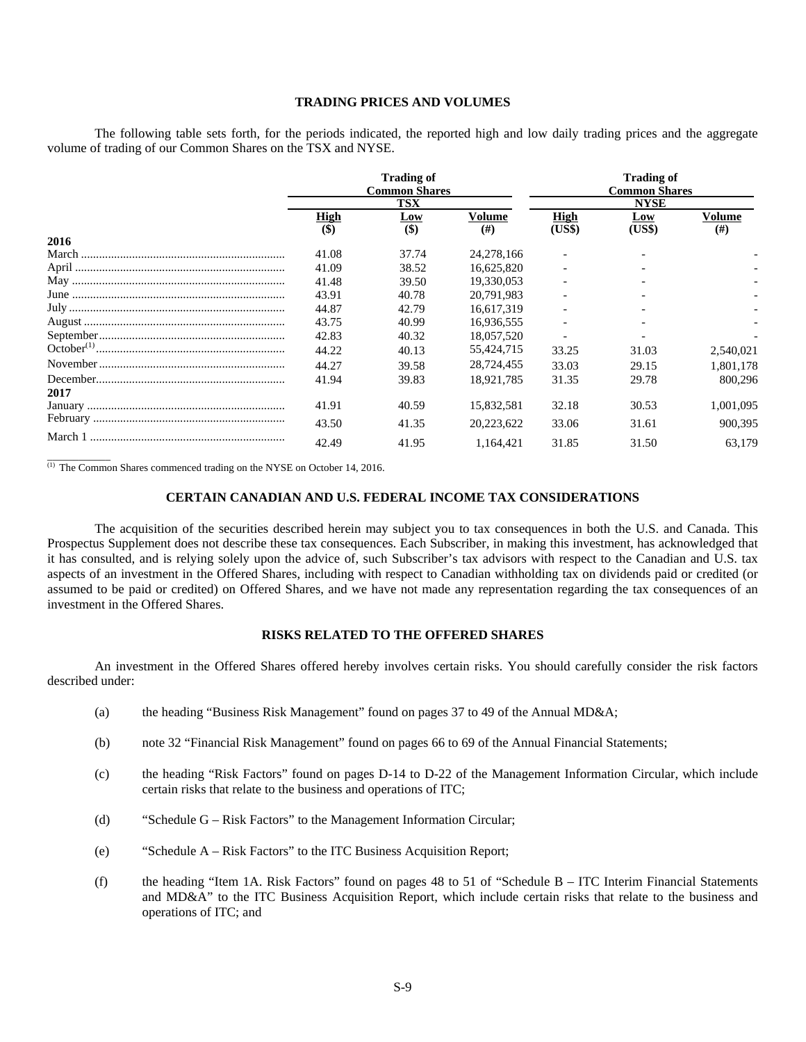# **TRADING PRICES AND VOLUMES**

The following table sets forth, for the periods indicated, the reported high and low daily trading prices and the aggregate volume of trading of our Common Shares on the TSX and NYSE.

|      | <b>Trading of</b><br><b>Common Shares</b> |                         |              | <b>Trading of</b><br><b>Common Shares</b>   |        |           |
|------|-------------------------------------------|-------------------------|--------------|---------------------------------------------|--------|-----------|
|      | <b>TSX</b>                                |                         | Volume       | <b>NYSE</b><br><b>High</b><br>Volume<br>Low |        |           |
|      | <u>High</u>                               | $rac{\text{Low}}{(\$)}$ | (f#)         | (US\$)                                      | (US\$) | (# )      |
| 2016 |                                           |                         |              |                                             |        |           |
|      | 41.08                                     | 37.74                   | 24, 278, 166 |                                             |        |           |
|      | 41.09                                     | 38.52                   | 16,625,820   |                                             |        |           |
|      | 41.48                                     | 39.50                   | 19,330,053   |                                             |        |           |
|      | 43.91                                     | 40.78                   | 20,791,983   |                                             |        |           |
|      | 44.87                                     | 42.79                   | 16,617,319   |                                             |        |           |
|      | 43.75                                     | 40.99                   | 16,936,555   |                                             |        |           |
|      | 42.83                                     | 40.32                   | 18,057,520   |                                             |        |           |
|      | 44.22                                     | 40.13                   | 55,424,715   | 33.25                                       | 31.03  | 2,540,021 |
|      | 44.27                                     | 39.58                   | 28,724,455   | 33.03                                       | 29.15  | 1,801,178 |
|      | 41.94                                     | 39.83                   | 18.921.785   | 31.35                                       | 29.78  | 800.296   |
| 2017 |                                           |                         |              |                                             |        |           |
|      | 41.91                                     | 40.59                   | 15,832,581   | 32.18                                       | 30.53  | 1,001,095 |
|      | 43.50                                     | 41.35                   | 20,223,622   | 33.06                                       | 31.61  | 900,395   |
|      | 42.49                                     | 41.95                   | 1,164,421    | 31.85                                       | 31.50  | 63.179    |
|      |                                           |                         |              |                                             |        |           |

(1) The Common Shares commenced trading on the NYSE on October 14, 2016.

# **CERTAIN CANADIAN AND U.S. FEDERAL INCOME TAX CONSIDERATIONS**

The acquisition of the securities described herein may subject you to tax consequences in both the U.S. and Canada. This Prospectus Supplement does not describe these tax consequences. Each Subscriber, in making this investment, has acknowledged that it has consulted, and is relying solely upon the advice of, such Subscriber's tax advisors with respect to the Canadian and U.S. tax aspects of an investment in the Offered Shares, including with respect to Canadian withholding tax on dividends paid or credited (or assumed to be paid or credited) on Offered Shares, and we have not made any representation regarding the tax consequences of an investment in the Offered Shares.

#### **RISKS RELATED TO THE OFFERED SHARES**

An investment in the Offered Shares offered hereby involves certain risks. You should carefully consider the risk factors described under:

- (a) the heading "Business Risk Management" found on pages 37 to 49 of the Annual MD&A;
- (b) note 32 "Financial Risk Management" found on pages 66 to 69 of the Annual Financial Statements;
- (c) the heading "Risk Factors" found on pages D-14 to D-22 of the Management Information Circular, which include certain risks that relate to the business and operations of ITC;
- (d) "Schedule G Risk Factors" to the Management Information Circular;
- (e) "Schedule A Risk Factors" to the ITC Business Acquisition Report;
- (f) the heading "Item 1A. Risk Factors" found on pages 48 to 51 of "Schedule B ITC Interim Financial Statements and MD&A" to the ITC Business Acquisition Report, which include certain risks that relate to the business and operations of ITC; and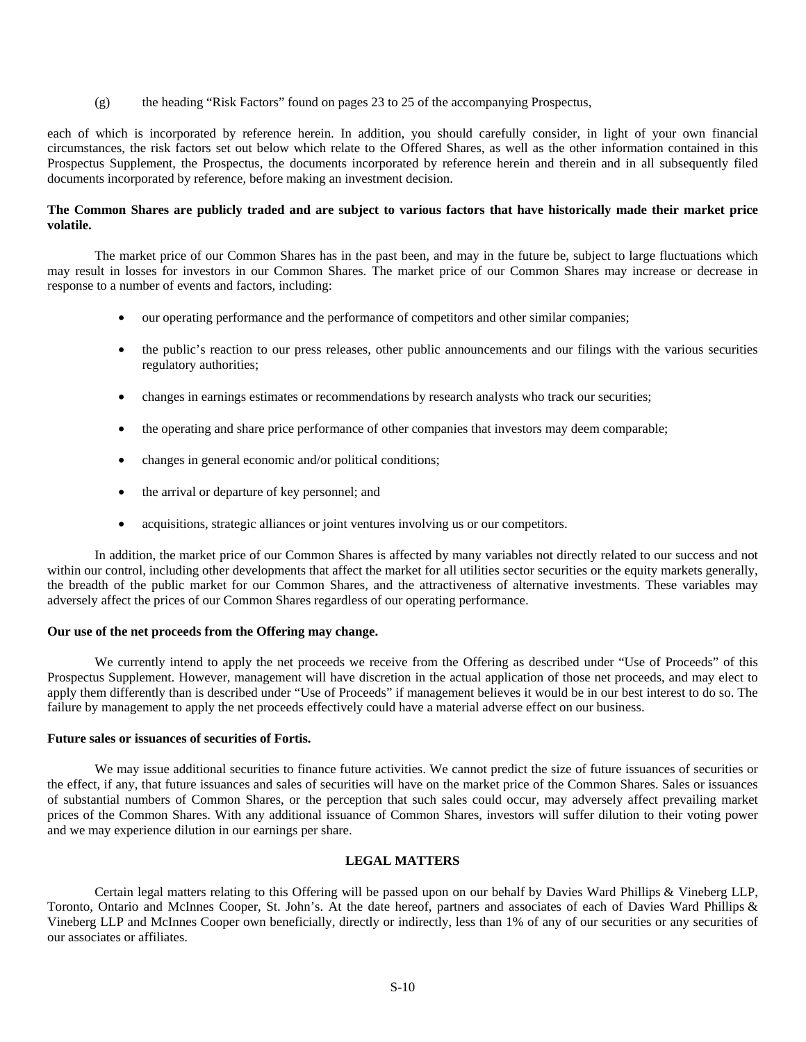(g) the heading "Risk Factors" found on pages 23 to 25 of the accompanying Prospectus,

each of which is incorporated by reference herein. In addition, you should carefully consider, in light of your own financial circumstances, the risk factors set out below which relate to the Offered Shares, as well as the other information contained in this Prospectus Supplement, the Prospectus, the documents incorporated by reference herein and therein and in all subsequently filed documents incorporated by reference, before making an investment decision.

# **The Common Shares are publicly traded and are subject to various factors that have historically made their market price volatile.**

The market price of our Common Shares has in the past been, and may in the future be, subject to large fluctuations which may result in losses for investors in our Common Shares. The market price of our Common Shares may increase or decrease in response to a number of events and factors, including:

- our operating performance and the performance of competitors and other similar companies;
- the public's reaction to our press releases, other public announcements and our filings with the various securities regulatory authorities;
- changes in earnings estimates or recommendations by research analysts who track our securities;
- the operating and share price performance of other companies that investors may deem comparable;
- changes in general economic and/or political conditions;
- the arrival or departure of key personnel; and
- acquisitions, strategic alliances or joint ventures involving us or our competitors.

In addition, the market price of our Common Shares is affected by many variables not directly related to our success and not within our control, including other developments that affect the market for all utilities sector securities or the equity markets generally, the breadth of the public market for our Common Shares, and the attractiveness of alternative investments. These variables may adversely affect the prices of our Common Shares regardless of our operating performance.

#### **Our use of the net proceeds from the Offering may change.**

We currently intend to apply the net proceeds we receive from the Offering as described under "Use of Proceeds" of this Prospectus Supplement. However, management will have discretion in the actual application of those net proceeds, and may elect to apply them differently than is described under "Use of Proceeds" if management believes it would be in our best interest to do so. The failure by management to apply the net proceeds effectively could have a material adverse effect on our business.

#### **Future sales or issuances of securities of Fortis.**

We may issue additional securities to finance future activities. We cannot predict the size of future issuances of securities or the effect, if any, that future issuances and sales of securities will have on the market price of the Common Shares. Sales or issuances of substantial numbers of Common Shares, or the perception that such sales could occur, may adversely affect prevailing market prices of the Common Shares. With any additional issuance of Common Shares, investors will suffer dilution to their voting power and we may experience dilution in our earnings per share.

# **LEGAL MATTERS**

Certain legal matters relating to this Offering will be passed upon on our behalf by Davies Ward Phillips & Vineberg LLP, Toronto, Ontario and McInnes Cooper, St. John's. At the date hereof, partners and associates of each of Davies Ward Phillips & Vineberg LLP and McInnes Cooper own beneficially, directly or indirectly, less than 1% of any of our securities or any securities of our associates or affiliates.